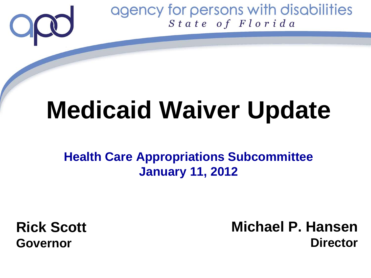

# **Medicaid Waiver Update**

**Health Care Appropriations Subcommittee January 11, 2012**

**Rick Scott Governor**

**Michael P. Hansen Director**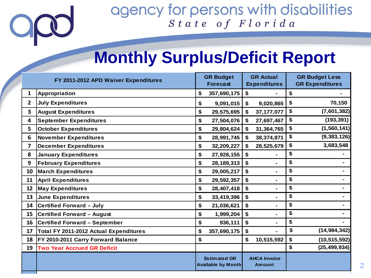2

# **Monthly Surplus/Deficit Report**

| FY 2011-2012 APD Waiver Expenditures |                                        | <b>GR Budget</b><br><b>Forecast</b> |                                                  | <b>GR Actual</b><br><b>Expenditures</b> |                               | <b>GR Budget Less</b><br><b>GR Expenditures</b> |                |
|--------------------------------------|----------------------------------------|-------------------------------------|--------------------------------------------------|-----------------------------------------|-------------------------------|-------------------------------------------------|----------------|
| $\mathbf{1}$                         | <b>Appropriation</b>                   | \$                                  | 357,690,175                                      | \$                                      |                               | \$                                              |                |
| $\mathbf{2}$                         | <b>July Expenditures</b>               | \$                                  | 9,091,015                                        | \$                                      | 9,020,865                     | \$                                              | 70,150         |
| $\overline{\mathbf{3}}$              | <b>August Expenditures</b>             | \$                                  | 29,575,695                                       | \$                                      | 37, 177, 077                  | \$                                              | (7,601,382)    |
| 4                                    | <b>September Expenditures</b>          | \$                                  | 27,504,076                                       | \$                                      | 27,697,467                    | \$                                              | (193, 391)     |
| 5                                    | <b>October Expenditures</b>            | \$                                  | 29,804,624                                       | \$                                      | 31,364,765                    | \$                                              | (1, 560, 141)  |
| 6                                    | November Expenditures                  | \$                                  | 28,991,745                                       | $\mathbf{s}$                            | 38,374,871                    | \$                                              | (9, 383, 126)  |
| $\overline{\mathbf{z}}$              | <b>December Expenditures</b>           | \$                                  | 32,209,227                                       | \$                                      | 28,525,679                    | \$                                              | 3,683,548      |
| 8                                    | <b>January Expenditures</b>            | \$                                  | 27,928,155                                       | \$                                      |                               | \$                                              |                |
| 9                                    | <b>February Expenditures</b>           | \$                                  | 28,189,313                                       | \$                                      | $\blacksquare$                | \$                                              |                |
| 10                                   | <b>March Expenditures</b>              | \$                                  | 29,005,217                                       | \$                                      | ٠                             | \$                                              |                |
| 11                                   | <b>April Expenditures</b>              | \$                                  | 29,592,357                                       | \$                                      | ۰                             | \$                                              |                |
| 12                                   | <b>May Expenditures</b>                | \$                                  | 28,407,418                                       | \$                                      | Ξ.                            | \$                                              |                |
| 13                                   | June Expenditures                      | \$                                  | 33,419,396                                       | \$                                      | ٠                             | \$                                              |                |
| 14                                   | <b>Certified Forward - July</b>        | \$                                  | 21,036,621                                       | \$                                      | $\blacksquare$                | \$                                              |                |
| 15                                   | <b>Certified Forward - August</b>      | \$                                  | 1,999,204                                        | \$                                      | Ξ.                            | \$                                              |                |
| 16                                   | <b>Certified Forward - September</b>   | \$                                  | 936,111                                          | \$                                      | ۰                             | \$                                              |                |
| 17                                   | Total FY 2011-2012 Actual Expenditures | \$                                  | 357,690,175                                      | \$                                      |                               | \$                                              | (14, 984, 342) |
| 18                                   | FY 2010-2011 Carry Forward Balance     | \$                                  |                                                  | \$                                      | 10,515,592                    | \$                                              | (10, 515, 592) |
| 19                                   | <b>Two Year Accrued GR Deficit</b>     |                                     |                                                  |                                         |                               | \$                                              | (25, 499, 934) |
|                                      |                                        |                                     | <b>Estimated GR</b><br><b>Available by Month</b> |                                         | <b>AHCA Invoice</b><br>Amount |                                                 |                |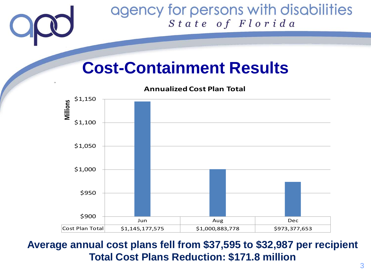

# **Cost-Containment Results**

**Annualized Cost Plan Total**



### **Average annual cost plans fell from \$37,595 to \$32,987 per recipient Total Cost Plans Reduction: \$171.8 million**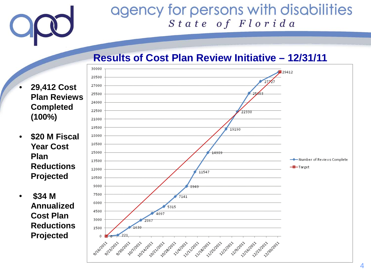

#### **Results of Cost Plan Review Initiative – 12/31/11**

- **29,412 Cost Plan Reviews Completed (100%)**
- **\$20 M Fiscal Year Cost Plan Reductions Projected**
- **\$34 M Annualized Cost Plan Reductions Projected**